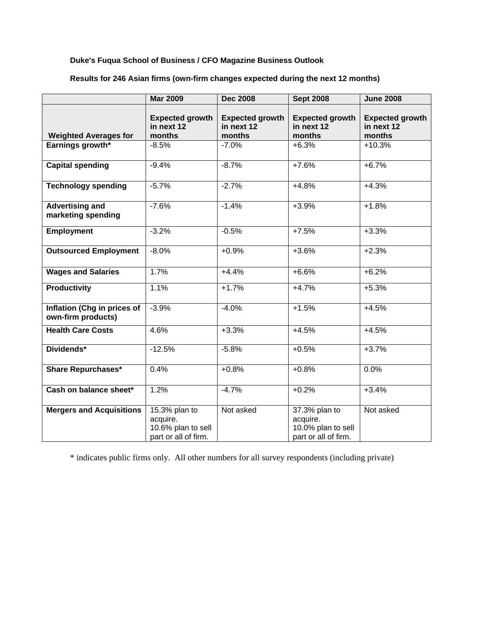## **Duke's Fuqua School of Business / CFO Magazine Business Outlook**

|                                                   | <b>Mar 2009</b>                                                         | <b>Dec 2008</b>                                | <b>Sept 2008</b>                                                        | <b>June 2008</b>                               |
|---------------------------------------------------|-------------------------------------------------------------------------|------------------------------------------------|-------------------------------------------------------------------------|------------------------------------------------|
| <b>Weighted Averages for</b>                      | <b>Expected growth</b><br>in next 12<br>months                          | <b>Expected growth</b><br>in next 12<br>months | <b>Expected growth</b><br>in next 12<br>months                          | <b>Expected growth</b><br>in next 12<br>months |
| Earnings growth*                                  | $-8.5%$                                                                 | $-7.0%$                                        | $+6.3%$                                                                 | $+10.3%$                                       |
| <b>Capital spending</b>                           | $-9.4%$                                                                 | $-8.7%$                                        | $+7.6%$                                                                 | $+6.7%$                                        |
| <b>Technology spending</b>                        | $-5.7%$                                                                 | $-2.7%$                                        | $+4.8%$                                                                 | $+4.3%$                                        |
| <b>Advertising and</b><br>marketing spending      | $-7.6%$                                                                 | $-1.4%$                                        | $+3.9%$                                                                 | $+1.8%$                                        |
| <b>Employment</b>                                 | $-3.2%$                                                                 | $-0.5%$                                        | $+7.5%$                                                                 | $+3.3%$                                        |
| <b>Outsourced Employment</b>                      | $-8.0%$                                                                 | $+0.9%$                                        | $+3.6%$                                                                 | $+2.3%$                                        |
| <b>Wages and Salaries</b>                         | 1.7%                                                                    | $+4.4%$                                        | $+6.6%$                                                                 | $+6.2%$                                        |
| Productivity                                      | 1.1%                                                                    | $+1.7%$                                        | $+4.7%$                                                                 | $+5.3%$                                        |
| Inflation (Chg in prices of<br>own-firm products) | $-3.9%$                                                                 | $-4.0%$                                        | $+1.5%$                                                                 | $+4.5%$                                        |
| <b>Health Care Costs</b>                          | 4.6%                                                                    | $+3.3%$                                        | $+4.5%$                                                                 | $+4.5%$                                        |
| Dividends*                                        | $-12.5%$                                                                | $-5.8%$                                        | $+0.5%$                                                                 | $+3.7%$                                        |
| <b>Share Repurchases*</b>                         | 0.4%                                                                    | $+0.8%$                                        | $+0.8%$                                                                 | 0.0%                                           |
| Cash on balance sheet*                            | 1.2%                                                                    | $-4.7%$                                        | $+0.2%$                                                                 | $+3.4%$                                        |
| <b>Mergers and Acquisitions</b>                   | 15.3% plan to<br>acquire.<br>10.6% plan to sell<br>part or all of firm. | Not asked                                      | 37.3% plan to<br>acquire.<br>10.0% plan to sell<br>part or all of firm. | Not asked                                      |

# **Results for 246 Asian firms (own-firm changes expected during the next 12 months)**

\* indicates public firms only. All other numbers for all survey respondents (including private)